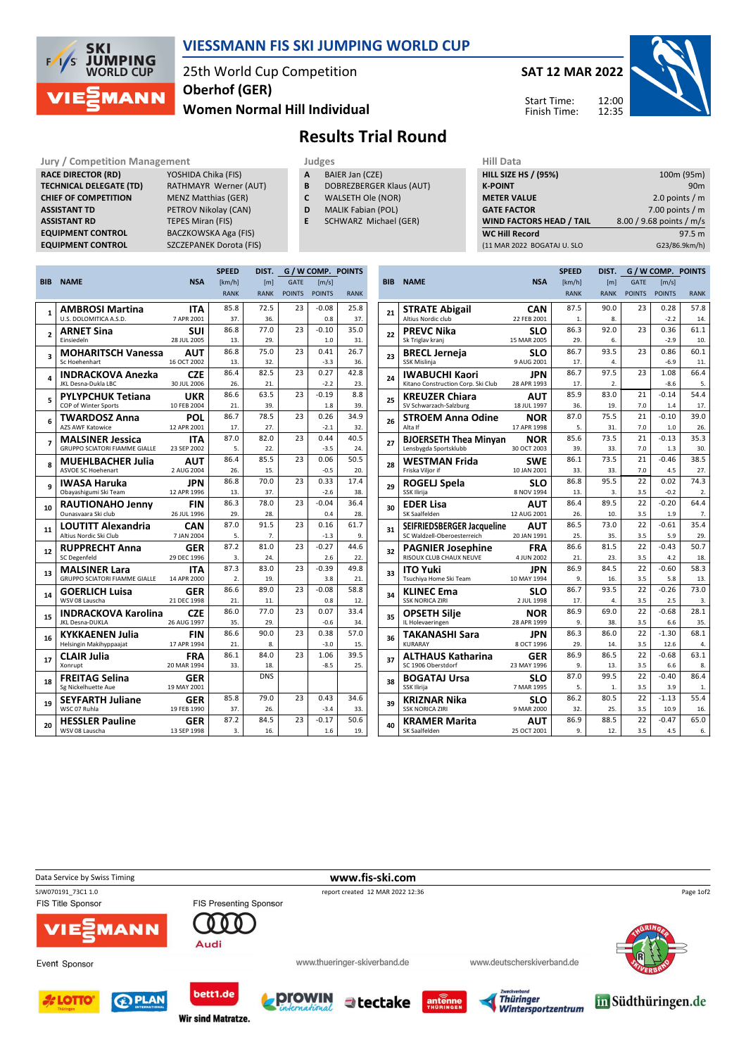

## VIESSMANN FIS SKI JUMPING WORLD CUP

25th World Cup Competition Women Normal Hill Individual Oberhof (GER)

SAT 12 MAR 2022

Start Time: Finish Time: 12:00



Results Trial Round

#### RACE DIRECTOR (RD) TECHNICAL DELEGATE (TD CHIEF OF COMPETITION **ASSISTANT TD ASSISTANT RD EQUIPMENT CONTROL EQUIPMENT CONTROL**

| <b>Jury / Competition Management</b> |                                | <b>Judges</b> |                           | <b>Hill Dat</b>  |
|--------------------------------------|--------------------------------|---------------|---------------------------|------------------|
| <b>RACE DIRECTOR (RD)</b>            | YOSHIDA Chika (FIS)            | A             | BAIER Jan (CZE)           | <b>HILL SIZE</b> |
| <b>TECHNICAL DELEGATE (TD)</b>       | RATHMAYR Werner (AUT)          | B             | DOBREZBERGER Klaus (AUT)  | <b>K-POINT</b>   |
| <b>CHIEF OF COMPETITION</b>          | <b>MENZ Matthias (GER)</b>     | C             | WALSETH Ole (NOR)         | <b>METER V</b>   |
| <b>ASSISTANT TD</b>                  | PETROV Nikolay (CAN)           | D             | <b>MALIK Fabian (POL)</b> | <b>GATE FA</b>   |
| <b>ASSISTANT RD</b>                  | <b>TEPES Miran (FIS)</b>       | F.            | SCHWARZ Michael (GER)     | <b>WIND FA</b>   |
| <b>EQUIPMENT CONTROL</b>             | <b>BACZKOWSKA Aga (FIS)</b>    |               |                           | <b>WC Hill F</b> |
| <b>EQUIPMENT CONTROL</b>             | <b>SZCZEPANEK Dorota (FIS)</b> |               |                           | (11 MAR 2        |

- A BAIER Jan (CZE)
- **B** DOBREZBERGER Klaus (AUT)<br>**C** WALSETH Ole (NOR)
- WALSETH Ole (NOR)
- D MALIK Fabian (POL)
- E SCHWARZ Michael (GER)
	-

| нш рата                         |                          |
|---------------------------------|--------------------------|
| <b>HILL SIZE HS / (95%)</b>     | 100m (95m)               |
| <b>K-POINT</b>                  | 90 <sub>m</sub>          |
| <b>METER VALUE</b>              | 2.0 points $/m$          |
| <b>GATE FACTOR</b>              | 7.00 points $/m$         |
| <b>WIND FACTORS HEAD / TAIL</b> | 8.00 / 9.68 points / m/s |
| <b>WC Hill Record</b>           | 97.5 m                   |
| (11 MAR 2022 BOGATAJ U. SLO     | G23/86.9km/h)            |
|                                 |                          |

|                |                                                     |                           | <b>SPEED</b> | DIST.       |               | G / W COMP. POINTS    |             |
|----------------|-----------------------------------------------------|---------------------------|--------------|-------------|---------------|-----------------------|-------------|
| <b>BIB</b>     | <b>NAME</b>                                         | <b>NSA</b>                | [km/h]       | [m]         | <b>GATE</b>   | $\lfloor m/s \rfloor$ |             |
|                |                                                     |                           | <b>RANK</b>  | <b>RANK</b> | <b>POINTS</b> | <b>POINTS</b>         | <b>RANK</b> |
| $\mathbf{1}$   | <b>AMBROSI Martina</b>                              | <b>ITA</b>                | 85.8         | 72.5        | 23            | $-0.08$               | 25.8        |
|                | U.S. DOLOMITICA A.S.D.                              | 7 APR 2001                | 37.          | 36.         |               | 0.8                   | 37.         |
| $\overline{a}$ | <b>ARNET Sina</b>                                   | SUI                       | 86.8         | 77.0        | 23            | $-0.10$               | 35.0        |
|                | Einsiedeln                                          | 28 JUL 2005               | 13.          | 29.         |               | 1.0                   | 31.         |
| 3              | <b>MOHARITSCH Vanessa</b>                           | AUT                       | 86.8         | 75.0        | 23            | 0.41                  | 26.7        |
|                | Sc Hoehenhart                                       | 16 OCT 2002               | 13.          | 32.         |               | $-3.3$                | 36.         |
| 4              | <b>INDRACKOVA Anezka</b>                            | <b>CZE</b>                | 86.4         | 82.5        | 23            | 0.27                  | 42.8        |
|                | JKL Desna-Dukla LBC                                 | 30 JUL 2006               | 26.          | 21.         |               | $-2.2$                | 23.         |
| 5              | <b>PYLYPCHUK Tetiana</b>                            | <b>UKR</b>                | 86.6         | 63.5        | 23            | $-0.19$               | 8.8         |
|                | COP of Winter Sports                                | 10 FEB 2004               | 21.          | 39.         |               | 1.8                   | 39.         |
| 6              | <b>TWARDOSZ Anna</b>                                | <b>POL</b>                | 86.7         | 78.5        | 23            | 0.26                  | 34.9        |
|                | <b>AZS AWF Katowice</b>                             | 12 APR 2001               | 17.          | 27.         |               | $-2.1$                | 32.         |
| 7              | <b>MALSINER Jessica</b>                             | ITA                       | 87.0         | 82.0        | 23            | 0.44                  | 40.5        |
|                | <b>GRUPPO SCIATORI FIAMME GIALLE</b>                | 23 SEP 2002               | 5.           | 22.         |               | $-3.5$                | 24.         |
| 8              | <b>MUEHLBACHER Julia</b>                            | AUT                       | 86.4         | 85.5        | 23            | 0.06                  | 50.5        |
|                | <b>ASVOE SC Hoehenart</b>                           | 2 AUG 2004                | 26.          | 15.         |               | $-0.5$                | 20.         |
| q              | <b>IWASA Haruka</b>                                 | JPN                       | 86.8         | 70.0        | 23            | 0.33                  | 17.4        |
|                | Obayashigumi Ski Team                               | 12 APR 1996               | 13.          | 37.         |               | $-2.6$                | 38.         |
| 10             | <b>RAUTIONAHO Jenny</b><br>Ounasyaara Ski club      | <b>FIN</b><br>26 JUL 1996 | 86.3<br>29.  | 78.0<br>28. | 23            | $-0.04$<br>0.4        | 36.4<br>28. |
|                |                                                     |                           | 87.0         | 91.5        | 23            | 0.16                  | 61.7        |
| 11             | <b>LOUTITT Alexandria</b><br>Altius Nordic Ski Club | CAN<br>7 JAN 2004         | 5.           | 7.          |               | $-1.3$                | 9.          |
|                | <b>RUPPRECHT Anna</b>                               |                           | 87.2         | 81.0        | 23            | $-0.27$               | 44.6        |
| 12             | <b>SC Degenfeld</b>                                 | GER<br>29 DEC 1996        | 3.           | 24.         |               | 2.6                   | 22.         |
|                | <b>MALSINER Lara</b>                                | <b>ITA</b>                | 87.3         | 83.0        | 23            | $-0.39$               | 49.8        |
| 13             | <b>GRUPPO SCIATORI FIAMME GIALLE</b>                | 14 APR 2000               | 2.           | 19.         |               | 3.8                   | 21.         |
|                | <b>GOERLICH Luisa</b>                               | GER                       | 86.6         | 89.0        | 23            | $-0.08$               | 58.8        |
| 14             | WSV 08 Lauscha                                      | 21 DEC 1998               | 21.          | 11.         |               | 0.8                   | 12.         |
|                | <b>INDRACKOVA Karolina</b>                          | <b>CZE</b>                | 86.0         | 77.0        | 23            | 0.07                  | 33.4        |
| 15             | JKL Desna-DUKLA                                     | 26 AUG 1997               | 35.          | 29.         |               | $-0.6$                | 34.         |
| 16             | <b>KYKKAENEN Julia</b>                              | FIN                       | 86.6         | 90.0        | 23            | 0.38                  | 57.0        |
|                | Helsingin Makihyppaajat                             | 17 APR 1994               | 21.          | 8.          |               | $-3.0$                | 15.         |
| 17             | <b>CLAIR Julia</b>                                  | <b>FRA</b>                | 86.1         | 84.0        | 23            | 1.06                  | 39.5        |
|                | Xonrupt                                             | 20 MAR 1994               | 33.          | 18.         |               | $-8.5$                | 25.         |
| 18             | <b>FREITAG Selina</b>                               | GER                       |              | <b>DNS</b>  |               |                       |             |
|                | Sg Nickelhuette Aue                                 | 19 MAY 2001               |              |             |               |                       |             |
| 19             | <b>SEYFARTH Juliane</b>                             | GER                       | 85.8         | 79.0        | 23            | 0.43                  | 34.6        |
|                | WSC 07 Ruhla                                        | 19 FEB 1990               | 37.          | 26.         |               | $-3.4$                | 33.         |
| 20             | <b>HESSLER Pauline</b>                              | GER                       | 87.2         | 84.5        | 23            | $-0.17$               | 50.6        |
|                | WSV 08 Lauscha                                      | 13 SEP 1998               | 3.           | 16.         |               | 1.6                   | 19.         |

|            |                                               |                           | <b>SPEED</b> | DIST.            | G / W COMP. POINTS |                |             |  |
|------------|-----------------------------------------------|---------------------------|--------------|------------------|--------------------|----------------|-------------|--|
| <b>BIB</b> | <b>NAME</b>                                   | <b>NSA</b>                | [km/h]       | [m]              | <b>GATE</b>        | [m/s]          |             |  |
|            |                                               |                           | <b>RANK</b>  | <b>RANK</b>      | <b>POINTS</b>      | <b>POINTS</b>  | <b>RANK</b> |  |
| 21         | <b>STRATE Abigail</b>                         | <b>CAN</b>                | 87.5         | 90.0             | 23                 | 0.28           | 57.8        |  |
|            | Altius Nordic club                            | 22 FEB 2001               | 1.           | 8.               |                    | $-2.2$         | 14.         |  |
| 22         | <b>PREVC Nika</b>                             | <b>SLO</b>                | 86.3         | 92.0             | 23                 | 0.36           | 61.1        |  |
|            | Sk Triglav kranj                              | 15 MAR 2005               | 29.          | 6.               |                    | $-2.9$         | 10.         |  |
| 23         | <b>BRECL Jerneia</b>                          | <b>SLO</b>                | 86.7         | 93.5             | 23                 | 0.86           | 60.1        |  |
|            | SSK Mislinja                                  | 9 AUG 2001                | 17.          | 4.               |                    | $-6.9$         | 11.         |  |
| 24         | IWABUCHI Kaori                                | JPN                       | 86.7         | 97.5             | 23                 | 1.08           | 66.4        |  |
|            | Kitano Construction Corp. Ski Club            | 28 APR 1993               | 17.          | $\overline{2}$ . |                    | $-8.6$         | 5.          |  |
| 25         | <b>KREUZER Chiara</b>                         | AUT                       | 85.9         | 83.0             | 21                 | $-0.14$        | 54.4        |  |
|            | SV Schwarzach-Salzburg                        | 18 JUL 1997               | 36.          | 19.              | 7.0                | 1.4            | 17.         |  |
| 26         | <b>STROEM Anna Odine</b>                      | NOR                       | 87.0         | 75.5             | 21                 | $-0.10$        | 39.0        |  |
|            | Alta If                                       | 17 APR 1998               | 5.           | 31.              | 7.0                | 1.0            | 26.         |  |
| 27         | <b>BJOERSETH Thea Minyan</b>                  | <b>NOR</b><br>30 OCT 2003 | 85.6<br>39.  | 73.5<br>33.      | 21<br>7.0          | $-0.13$<br>1.3 | 35.3<br>30. |  |
|            | Lensbygda Sportsklubb                         |                           | 86.1         | 73.5             | 21                 | $-0.46$        | 38.5        |  |
| 28         | <b>WESTMAN Frida</b><br>Friska Viljor if      | <b>SWE</b><br>10 JAN 2001 | 33.          | 33.              | 7.0                | 4.5            | 27.         |  |
|            |                                               |                           | 86.8         | 95.5             | 22                 | 0.02           | 74.3        |  |
| 29         | <b>ROGELJ Spela</b><br>SSK Ilirija            | SLO<br>8 NOV 1994         | 13.          | 3.               | 3.5                | $-0.2$         | 2.          |  |
|            | <b>EDER Lisa</b>                              | AUT                       | 86.4         | 89.5             | 22                 | $-0.20$        | 64.4        |  |
| 30         | SK Saalfelden                                 | 12 AUG 2001               | 26.          | 10.              | 3.5                | 1.9            | 7.          |  |
|            | SEIFRIEDSBERGER Jacqueline                    | <b>AUT</b>                | 86.5         | 73.0             | 22                 | $-0.61$        | 35.4        |  |
| 31         | SC Waldzell-Oberoesterreich                   | 20 JAN 1991               | 25.          | 35.              | 3.5                | 5.9            | 29.         |  |
|            | <b>PAGNIER Josephine</b>                      | FRA                       | 86.6         | 81.5             | 22                 | $-0.43$        | 50.7        |  |
| 32         | RISOUX CLUB CHAUX NEUVE                       | 4 JUN 2002                | 21.          | 23.              | 3.5                | 4.2            | 18.         |  |
| 33         | ITO Yuki                                      | JPN                       | 86.9         | 84.5             | 22                 | $-0.60$        | 58.3        |  |
|            | Tsuchiya Home Ski Team                        | 10 MAY 1994               | 9.           | 16.              | 3.5                | 5.8            | 13.         |  |
| 34         | <b>KLINEC Ema</b>                             | <b>SLO</b>                | 86.7         | 93.5             | 22                 | $-0.26$        | 73.0        |  |
|            | <b>SSK NORICA ZIRI</b>                        | 2 JUL 1998                | 17.          | 4.               | 3.5                | 2.5            | 3.          |  |
| 35         | <b>OPSETH Silje</b>                           | NOR                       | 86.9         | 69.0             | 22                 | $-0.68$        | 28.1        |  |
|            | IL Holevaeringen                              | 28 APR 1999               | 9.           | 38.              | 3.5                | 6.6            | 35.         |  |
| 36         | <b>TAKANASHI Sara</b>                         | <b>JPN</b>                | 86.3         | 86.0             | 22                 | $-1.30$        | 68.1        |  |
|            | KURARAY                                       | 8 OCT 1996                | 29.          | 14.              | 3.5                | 12.6           | 4.          |  |
| 37         | ALTHAUS Katharina                             | GER                       | 86.9         | 86.5             | 22                 | $-0.68$        | 63.1        |  |
|            | SC 1906 Oberstdorf                            | 23 MAY 1996               | 9.           | 13.              | 3.5                | 6.6            | 8.          |  |
| 38         | <b>BOGATAJ Ursa</b>                           | SLO                       | 87.0         | 99.5             | 22                 | $-0.40$        | 86.4        |  |
|            | SSK Ilirija                                   | 7 MAR 1995                | 5.<br>86.2   | 1.<br>80.5       | 3.5<br>22          | 3.9<br>$-1.13$ | 1.<br>55.4  |  |
| 39         | <b>KRIZNAR Nika</b><br><b>SSK NORICA ZIRI</b> | SLO<br>9 MAR 2000         | 32.          | 25.              | 3.5                | 10.9           | 16.         |  |
|            |                                               |                           | 86.9         | 88.5             | 22                 | $-0.47$        | 65.0        |  |
| 40         | <b>KRAMER Marita</b><br>SK Saalfelden         | AUT<br>25 OCT 2001        | 9.           | 12.              | 3.5                | 4.5            | 6.          |  |
|            |                                               |                           |              |                  |                    |                |             |  |